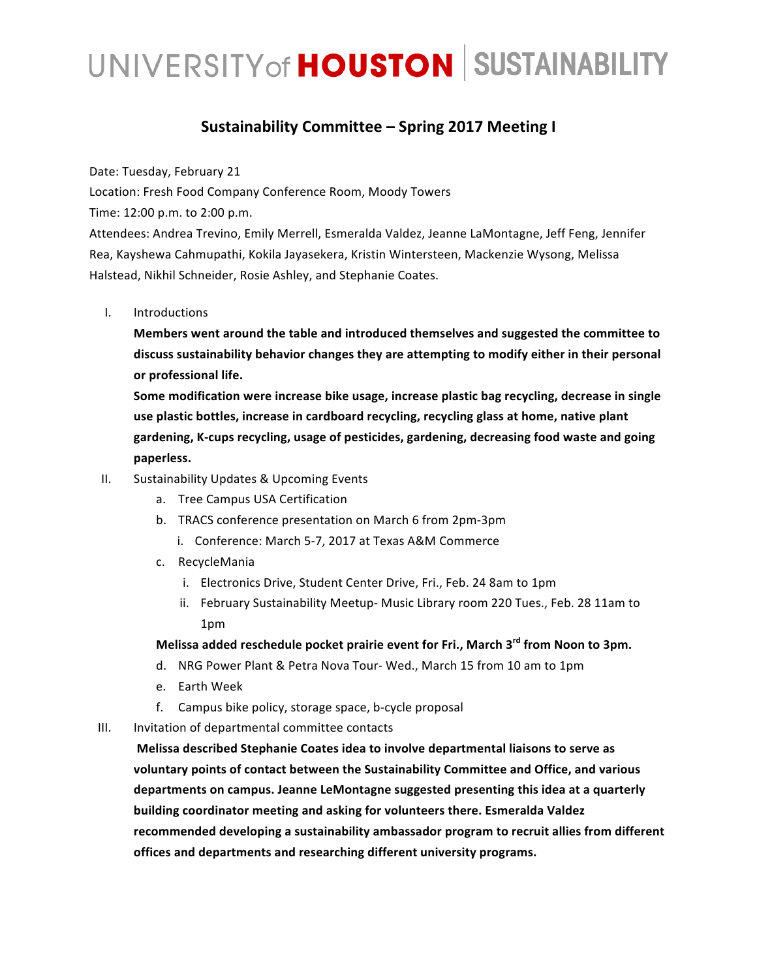# UNIVERSITY of **HOUSTON** SUSTAINABILITY

#### **Sustainability Committee – Spring 2017 Meeting I**

Date: Tuesday, February 21

Location: Fresh Food Company Conference Room, Moody Towers

Time: 12:00 p.m. to 2:00 p.m.

Attendees: Andrea Trevino, Emily Merrell, Esmeralda Valdez, Jeanne LaMontagne, Jeff Feng, Jennifer Rea, Kayshewa Cahmupathi, Kokila Jayasekera, Kristin Wintersteen, Mackenzie Wysong, Melissa Halstead, Nikhil Schneider, Rosie Ashley, and Stephanie Coates.

I. Introductions

**Members went around the table and introduced themselves and suggested the committee to** discuss sustainability behavior changes they are attempting to modify either in their personal **or professional life.**

Some modification were increase bike usage, increase plastic bag recycling, decrease in single use plastic bottles, increase in cardboard recycling, recycling glass at home, native plant gardening, K-cups recycling, usage of pesticides, gardening, decreasing food waste and going  $\blacksquare$  paperless.

- II. Sustainability Updates & Upcoming Events
	- a. Tree Campus USA Certification
	- b. TRACS conference presentation on March 6 from 2pm-3pm
		- i. Conference: March 5-7, 2017 at Texas A&M Commerce
	- c. RecycleMania
		- i. Electronics Drive, Student Center Drive, Fri., Feb. 24 8am to 1pm
		- ii. February Sustainability Meetup- Music Library room 220 Tues., Feb. 28 11am to 1pm

Melissa added reschedule pocket prairie event for Fri., March 3<sup>rd</sup> from Noon to 3pm.

- d. NRG Power Plant & Petra Nova Tour-Wed., March 15 from 10 am to 1pm
- e. Earth Week
- f. Campus bike policy, storage space, b-cycle proposal

III. Invitation of departmental committee contacts

**Melissa described Stephanie Coates idea to involve departmental liaisons to serve as**  voluntary points of contact between the Sustainability Committee and Office, and various departments on campus. Jeanne LeMontagne suggested presenting this idea at a quarterly **building coordinator meeting and asking for volunteers there. Esmeralda Valdez** recommended developing a sustainability ambassador program to recruit allies from different offices and departments and researching different university programs.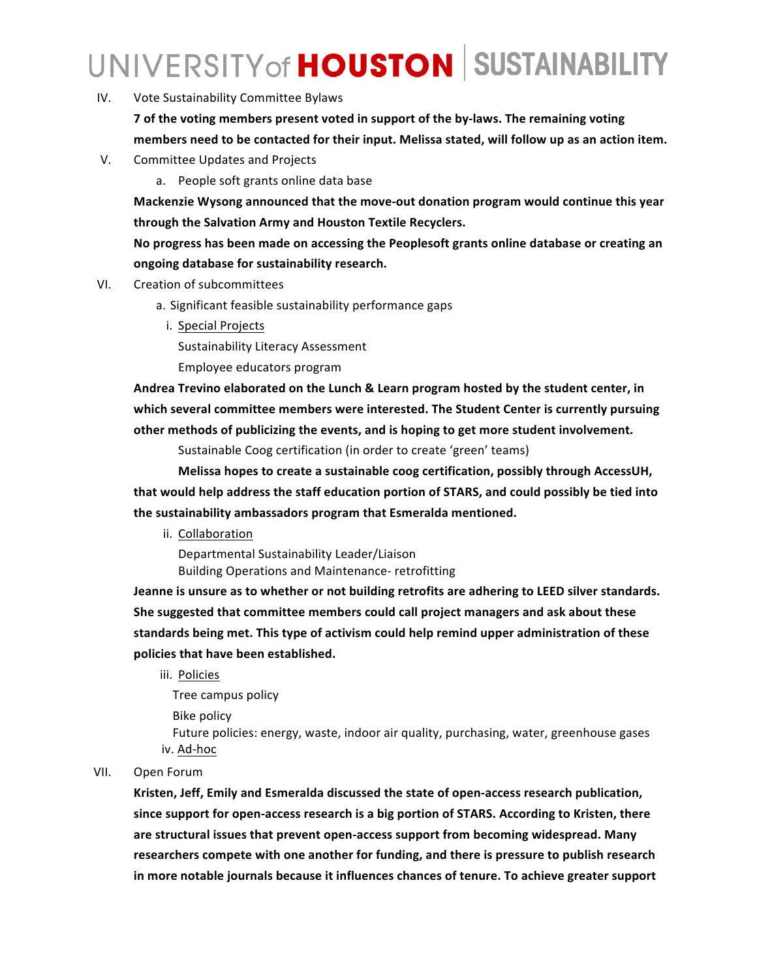## UNIVERSITY of **HOUSTON** SUSTAINABILITY

IV. Vote Sustainability Committee Bylaws

**7** of the voting members present voted in support of the by-laws. The remaining voting members need to be contacted for their input. Melissa stated, will follow up as an action item.

V. Committee Updates and Projects

a. People soft grants online data base

**Mackenzie Wysong announced that the move-out donation program would continue this year** through the Salvation Army and Houston Textile Recyclers.

No progress has been made on accessing the Peoplesoft grants online database or creating an ongoing database for sustainability research.

- VI. Creation of subcommittees
	- a. Significant feasible sustainability performance gaps
		- i. Special Projects

Sustainability Literacy Assessment

Employee educators program 

Andrea Trevino elaborated on the Lunch & Learn program hosted by the student center, in which several committee members were interested. The Student Center is currently pursuing other methods of publicizing the events, and is hoping to get more student involvement.

Sustainable Coog certification (in order to create 'green' teams)

Melissa hopes to create a sustainable coog certification, possibly through AccessUH, that would help address the staff education portion of STARS, and could possibly be tied into the sustainability ambassadors program that Esmeralda mentioned.

ii. Collaboration

Departmental Sustainability Leader/Liaison Building Operations and Maintenance- retrofitting

Jeanne is unsure as to whether or not building retrofits are adhering to LEED silver standards. She suggested that committee members could call project managers and ask about these standards being met. This type of activism could help remind upper administration of these policies that have been established.

iii. Policies

Tree campus policy

**Bike policy** 

Future policies: energy, waste, indoor air quality, purchasing, water, greenhouse gases iv. Ad-hoc

#### VII. Open Forum

Kristen, Jeff, Emily and Esmeralda discussed the state of open-access research publication, since support for open-access research is a big portion of STARS. According to Kristen, there are structural issues that prevent open-access support from becoming widespread. Many researchers compete with one another for funding, and there is pressure to publish research in more notable journals because it influences chances of tenure. To achieve greater support